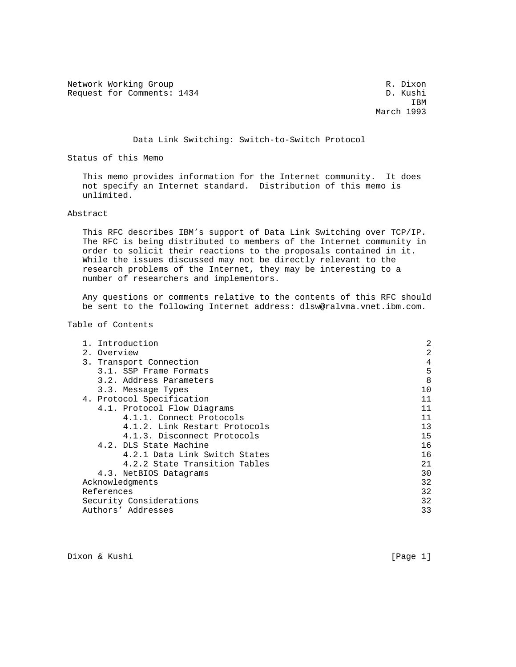Network Working Group and the set of the set of the set of the R. Dixon Request for Comments: 1434 D. Kushi

**IBM** March 1993

#### Data Link Switching: Switch-to-Switch Protocol

Status of this Memo

 This memo provides information for the Internet community. It does not specify an Internet standard. Distribution of this memo is unlimited.

#### Abstract

 This RFC describes IBM's support of Data Link Switching over TCP/IP. The RFC is being distributed to members of the Internet community in order to solicit their reactions to the proposals contained in it. While the issues discussed may not be directly relevant to the research problems of the Internet, they may be interesting to a number of researchers and implementors.

 Any questions or comments relative to the contents of this RFC should be sent to the following Internet address: dlsw@ralvma.vnet.ibm.com.

## Table of Contents

| 1. Introduction               | 2  |
|-------------------------------|----|
| 2. Overview                   | 2  |
| 3. Transport Connection       | 4  |
| 3.1. SSP Frame Formats        | 5  |
| 3.2. Address Parameters       | 8  |
| 3.3. Message Types            | 10 |
| 4. Protocol Specification     | 11 |
| 4.1. Protocol Flow Diagrams   | 11 |
| 4.1.1. Connect Protocols      | 11 |
| 4.1.2. Link Restart Protocols | 13 |
| 4.1.3. Disconnect Protocols   | 15 |
| 4.2. DLS State Machine        | 16 |
| 4.2.1 Data Link Switch States | 16 |
| 4.2.2 State Transition Tables | 21 |
| 4.3. NetBIOS Datagrams        | 30 |
| Acknowledgments               | 32 |
| References                    | 32 |
| Security Considerations       | 32 |
| Authors' Addresses            | 33 |

Dixon & Kushi [Page 1]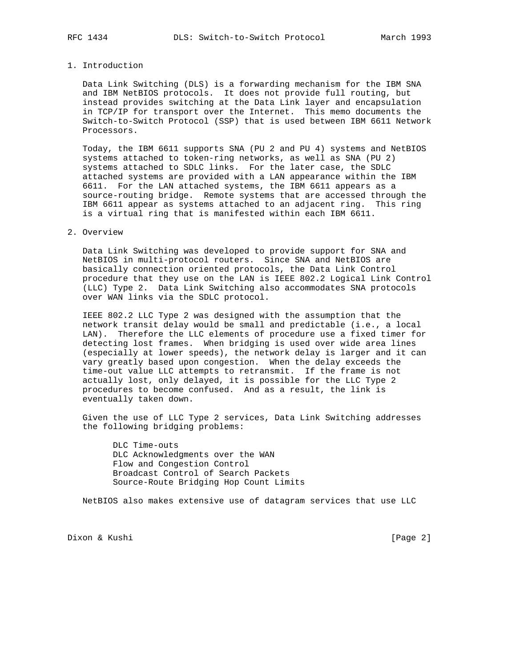#### 1. Introduction

 Data Link Switching (DLS) is a forwarding mechanism for the IBM SNA and IBM NetBIOS protocols. It does not provide full routing, but instead provides switching at the Data Link layer and encapsulation in TCP/IP for transport over the Internet. This memo documents the Switch-to-Switch Protocol (SSP) that is used between IBM 6611 Network Processors.

 Today, the IBM 6611 supports SNA (PU 2 and PU 4) systems and NetBIOS systems attached to token-ring networks, as well as SNA (PU 2) systems attached to SDLC links. For the later case, the SDLC attached systems are provided with a LAN appearance within the IBM 6611. For the LAN attached systems, the IBM 6611 appears as a source-routing bridge. Remote systems that are accessed through the IBM 6611 appear as systems attached to an adjacent ring. This ring is a virtual ring that is manifested within each IBM 6611.

#### 2. Overview

 Data Link Switching was developed to provide support for SNA and NetBIOS in multi-protocol routers. Since SNA and NetBIOS are basically connection oriented protocols, the Data Link Control procedure that they use on the LAN is IEEE 802.2 Logical Link Control (LLC) Type 2. Data Link Switching also accommodates SNA protocols over WAN links via the SDLC protocol.

 IEEE 802.2 LLC Type 2 was designed with the assumption that the network transit delay would be small and predictable (i.e., a local LAN). Therefore the LLC elements of procedure use a fixed timer for detecting lost frames. When bridging is used over wide area lines (especially at lower speeds), the network delay is larger and it can vary greatly based upon congestion. When the delay exceeds the time-out value LLC attempts to retransmit. If the frame is not actually lost, only delayed, it is possible for the LLC Type 2 procedures to become confused. And as a result, the link is eventually taken down.

 Given the use of LLC Type 2 services, Data Link Switching addresses the following bridging problems:

 DLC Time-outs DLC Acknowledgments over the WAN Flow and Congestion Control Broadcast Control of Search Packets Source-Route Bridging Hop Count Limits

NetBIOS also makes extensive use of datagram services that use LLC

Dixon & Kushi [Page 2]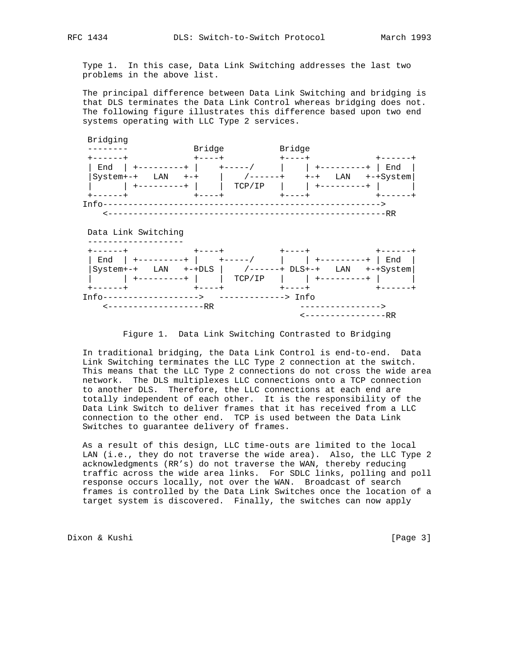Type 1. In this case, Data Link Switching addresses the last two problems in the above list.

 The principal difference between Data Link Switching and bridging is that DLS terminates the Data Link Control whereas bridging does not. The following figure illustrates this difference based upon two end systems operating with LLC Type 2 services.



Figure 1. Data Link Switching Contrasted to Bridging

 In traditional bridging, the Data Link Control is end-to-end. Data Link Switching terminates the LLC Type 2 connection at the switch. This means that the LLC Type 2 connections do not cross the wide area network. The DLS multiplexes LLC connections onto a TCP connection to another DLS. Therefore, the LLC connections at each end are totally independent of each other. It is the responsibility of the Data Link Switch to deliver frames that it has received from a LLC connection to the other end. TCP is used between the Data Link Switches to guarantee delivery of frames.

 As a result of this design, LLC time-outs are limited to the local LAN (i.e., they do not traverse the wide area). Also, the LLC Type 2 acknowledgments (RR's) do not traverse the WAN, thereby reducing traffic across the wide area links. For SDLC links, polling and poll response occurs locally, not over the WAN. Broadcast of search frames is controlled by the Data Link Switches once the location of a target system is discovered. Finally, the switches can now apply

Dixon & Kushi [Page 3]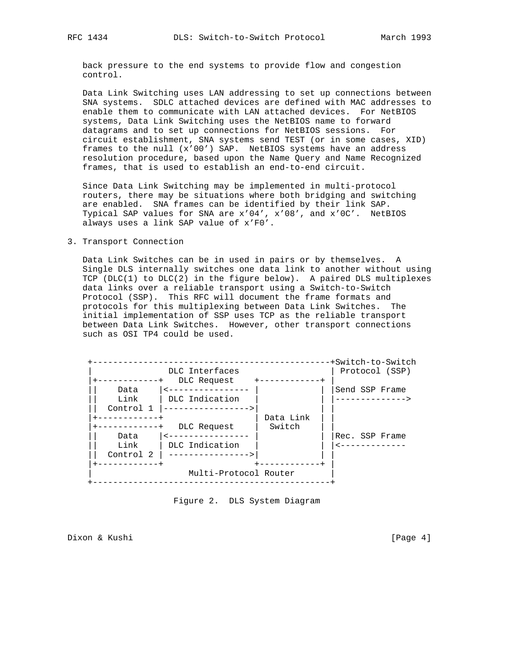back pressure to the end systems to provide flow and congestion control.

 Data Link Switching uses LAN addressing to set up connections between SNA systems. SDLC attached devices are defined with MAC addresses to enable them to communicate with LAN attached devices. For NetBIOS systems, Data Link Switching uses the NetBIOS name to forward datagrams and to set up connections for NetBIOS sessions. For circuit establishment, SNA systems send TEST (or in some cases, XID) frames to the null (x'00') SAP. NetBIOS systems have an address resolution procedure, based upon the Name Query and Name Recognized frames, that is used to establish an end-to-end circuit.

 Since Data Link Switching may be implemented in multi-protocol routers, there may be situations where both bridging and switching are enabled. SNA frames can be identified by their link SAP. Typical SAP values for SNA are x'04', x'08', and x'0C'. NetBIOS always uses a link SAP value of x'F0'.

#### 3. Transport Connection

 Data Link Switches can be in used in pairs or by themselves. A Single DLS internally switches one data link to another without using TCP ( $DLC(1)$  to  $DLC(2)$  in the figure below). A paired DLS multiplexes data links over a reliable transport using a Switch-to-Switch Protocol (SSP). This RFC will document the frame formats and protocols for this multiplexing between Data Link Switches. The initial implementation of SSP uses TCP as the reliable transport between Data Link Switches. However, other transport connections such as OSI TP4 could be used.



Figure 2. DLS System Diagram

Dixon & Kushi [Page 4]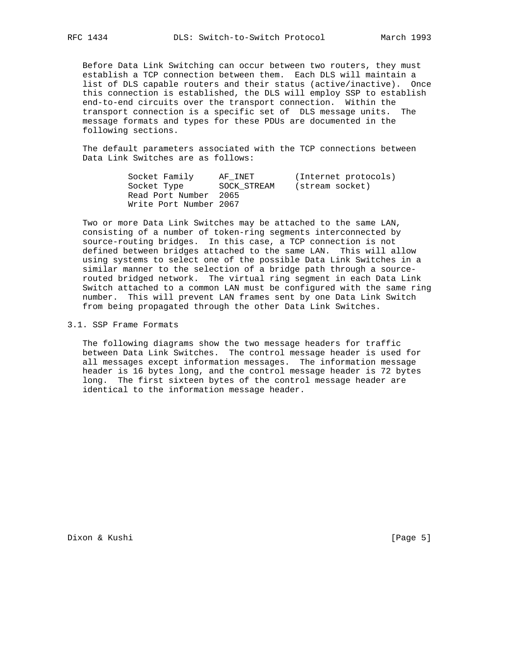Before Data Link Switching can occur between two routers, they must establish a TCP connection between them. Each DLS will maintain a list of DLS capable routers and their status (active/inactive). Once this connection is established, the DLS will employ SSP to establish end-to-end circuits over the transport connection. Within the transport connection is a specific set of DLS message units. The message formats and types for these PDUs are documented in the following sections.

 The default parameters associated with the TCP connections between Data Link Switches are as follows:

| Socket Family          | AF INET     | (Internet protocols) |
|------------------------|-------------|----------------------|
| Socket Type            | SOCK STREAM | (stream socket)      |
| Read Port Number 2065  |             |                      |
| Write Port Number 2067 |             |                      |

 Two or more Data Link Switches may be attached to the same LAN, consisting of a number of token-ring segments interconnected by source-routing bridges. In this case, a TCP connection is not defined between bridges attached to the same LAN. This will allow using systems to select one of the possible Data Link Switches in a similar manner to the selection of a bridge path through a source routed bridged network. The virtual ring segment in each Data Link Switch attached to a common LAN must be configured with the same ring number. This will prevent LAN frames sent by one Data Link Switch from being propagated through the other Data Link Switches.

3.1. SSP Frame Formats

 The following diagrams show the two message headers for traffic between Data Link Switches. The control message header is used for all messages except information messages. The information message header is 16 bytes long, and the control message header is 72 bytes long. The first sixteen bytes of the control message header are identical to the information message header.

Dixon & Kushi [Page 5]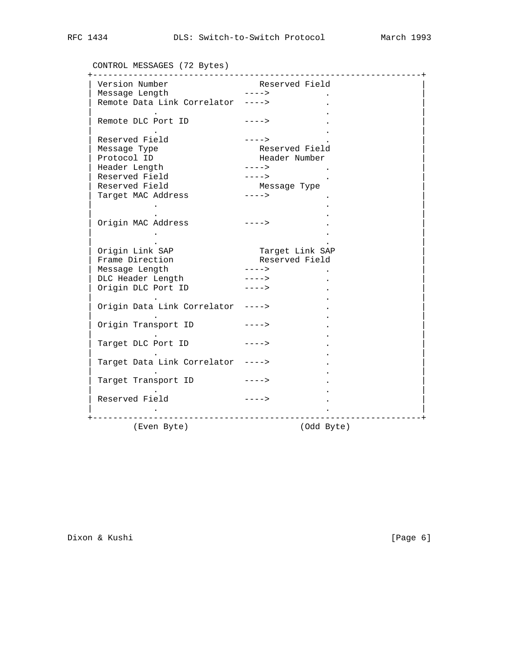CONTROL MESSAGES (72 Bytes)

| Version Number                                      | Reserved Field<br>$- - - - >$     |
|-----------------------------------------------------|-----------------------------------|
| Message Length<br>Remote Data Link Correlator ----> |                                   |
|                                                     |                                   |
| Remote DLC Port ID                                  | $- - - - >$                       |
|                                                     |                                   |
| Reserved Field                                      | $- - - - >$                       |
| Message Type                                        | Reserved Field                    |
| Protocol ID                                         | Header Number                     |
| Header Length                                       | $--- - >$                         |
| Reserved Field                                      | $---2$                            |
| Reserved Field                                      | Messaqe Type                      |
| Target MAC Address                                  | $--->$                            |
|                                                     |                                   |
|                                                     |                                   |
| Origin MAC Address                                  | $---->$                           |
|                                                     |                                   |
|                                                     |                                   |
| Origin Link SAP<br>Frame Direction                  | Target Link SAP<br>Reserved Field |
|                                                     |                                   |
| Message Length                                      | $--- $                            |
| DLC Header Length                                   | $---2$                            |
| Origin DLC Port ID                                  | $--- 5$                           |
|                                                     |                                   |
| Origin Data Link Correlator ---->                   |                                   |
| Origin Transport ID ---->                           |                                   |
|                                                     |                                   |
| Target DLC Port ID ---->                            |                                   |
|                                                     |                                   |
| Target Data Link Correlator ---->                   |                                   |
|                                                     |                                   |
| Target Transport ID<br>$---->$                      |                                   |
|                                                     |                                   |
| Reserved Field                                      | $- - - - >$                       |
|                                                     |                                   |
| -------------------                                 |                                   |
| (Even Byte)                                         | (Odd Byte)                        |

Dixon & Kushi [Page 6]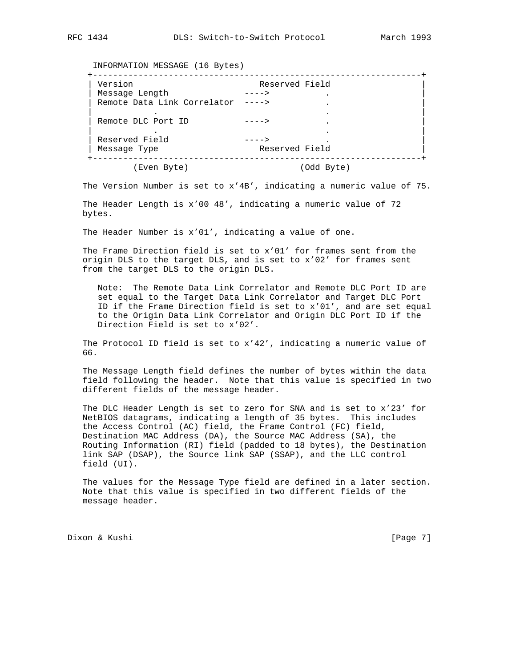INFORMATION MESSAGE (16 Bytes)

|         | Reserved Field |
|---------|----------------|
|         |                |
| $--- 5$ |                |
|         |                |
| --- -   |                |
|         |                |
|         |                |
|         | Reserved Field |
|         | (Odd Byte)     |
|         |                |

The Version Number is set to x'4B', indicating a numeric value of 75.

 The Header Length is x'00 48', indicating a numeric value of 72 bytes.

The Header Number is x'01', indicating a value of one.

 The Frame Direction field is set to x'01' for frames sent from the origin DLS to the target DLS, and is set to x'02' for frames sent from the target DLS to the origin DLS.

 Note: The Remote Data Link Correlator and Remote DLC Port ID are set equal to the Target Data Link Correlator and Target DLC Port ID if the Frame Direction field is set to x'01', and are set equal to the Origin Data Link Correlator and Origin DLC Port ID if the Direction Field is set to x'02'.

 The Protocol ID field is set to x'42', indicating a numeric value of 66.

 The Message Length field defines the number of bytes within the data field following the header. Note that this value is specified in two different fields of the message header.

 The DLC Header Length is set to zero for SNA and is set to x'23' for NetBIOS datagrams, indicating a length of 35 bytes. This includes the Access Control (AC) field, the Frame Control (FC) field, Destination MAC Address (DA), the Source MAC Address (SA), the Routing Information (RI) field (padded to 18 bytes), the Destination link SAP (DSAP), the Source link SAP (SSAP), and the LLC control field (UI).

 The values for the Message Type field are defined in a later section. Note that this value is specified in two different fields of the message header.

Dixon & Kushi [Page 7]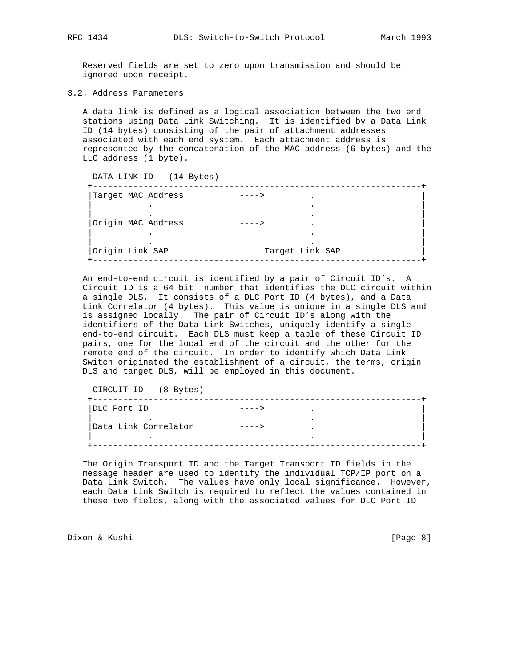Reserved fields are set to zero upon transmission and should be ignored upon receipt.

3.2. Address Parameters

 A data link is defined as a logical association between the two end stations using Data Link Switching. It is identified by a Data Link ID (14 bytes) consisting of the pair of attachment addresses associated with each end system. Each attachment address is represented by the concatenation of the MAC address (6 bytes) and the LLC address (1 byte).

| DATA LINK ID (14 Bytes) |                 |
|-------------------------|-----------------|
| Target MAC Address      |                 |
|                         |                 |
| Origin MAC Address      |                 |
|                         |                 |
| Origin Link SAP         | Target Link SAP |

 An end-to-end circuit is identified by a pair of Circuit ID's. A Circuit ID is a 64 bit number that identifies the DLC circuit within a single DLS. It consists of a DLC Port ID (4 bytes), and a Data Link Correlator (4 bytes). This value is unique in a single DLS and is assigned locally. The pair of Circuit ID's along with the identifiers of the Data Link Switches, uniquely identify a single end-to-end circuit. Each DLS must keep a table of these Circuit ID pairs, one for the local end of the circuit and the other for the remote end of the circuit. In order to identify which Data Link Switch originated the establishment of a circuit, the terms, origin DLS and target DLS, will be employed in this document.

 CIRCUIT ID (8 Bytes) +-----------------------------------------------------------------+ |DLC Port ID ----> . | . . | |Data Link Correlator ----> . | | . . | +-----------------------------------------------------------------+

 The Origin Transport ID and the Target Transport ID fields in the message header are used to identify the individual TCP/IP port on a Data Link Switch. The values have only local significance. However, each Data Link Switch is required to reflect the values contained in these two fields, along with the associated values for DLC Port ID

Dixon & Kushi [Page 8]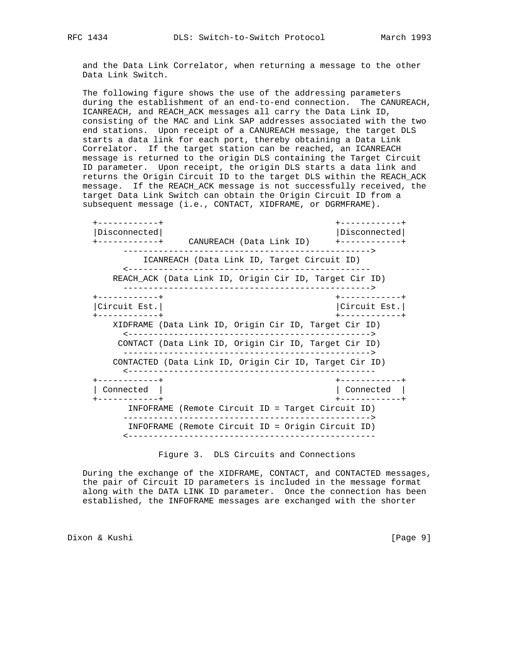and the Data Link Correlator, when returning a message to the other Data Link Switch.

 The following figure shows the use of the addressing parameters during the establishment of an end-to-end connection. The CANUREACH, ICANREACH, and REACH\_ACK messages all carry the Data Link ID, consisting of the MAC and Link SAP addresses associated with the two end stations. Upon receipt of a CANUREACH message, the target DLS starts a data link for each port, thereby obtaining a Data Link Correlator. If the target station can be reached, an ICANREACH message is returned to the origin DLS containing the Target Circuit ID parameter. Upon receipt, the origin DLS starts a data link and returns the Origin Circuit ID to the target DLS within the REACH\_ACK message. If the REACH\_ACK message is not successfully received, the target Data Link Switch can obtain the Origin Circuit ID from a subsequent message (i.e., CONTACT, XIDFRAME, or DGRMFRAME).

 +------------+ +------------+ |Disconnected| |Disconnected| +------------+ CANUREACH (Data Link ID) +------------+ -------------------------------------------------> ICANREACH (Data Link ID, Target Circuit ID) <------------------------------------------------ REACH\_ACK (Data Link ID, Origin Cir ID, Target Cir ID) -------------------------------------------------> +------------+ +------------+ |Circuit Est.| |Circuit Est.| +------------+ +------------+ XIDFRAME (Data Link ID, Origin Cir ID, Target Cir ID) <------------------------------------------------> CONTACT (Data Link ID, Origin Cir ID, Target Cir ID) -------------------------------------------------> CONTACTED (Data Link ID, Origin Cir ID, Target Cir ID) <------------------------------------------------- +------------+ +------------+ | Connected | | Connected | +------------+ +------------+ INFOFRAME (Remote Circuit ID = Target Circuit ID) -------------------------------------------------> INFOFRAME (Remote Circuit ID = Origin Circuit ID) <-------------------------------------------------

Figure 3. DLS Circuits and Connections

 During the exchange of the XIDFRAME, CONTACT, and CONTACTED messages, the pair of Circuit ID parameters is included in the message format along with the DATA LINK ID parameter. Once the connection has been established, the INFOFRAME messages are exchanged with the shorter

Dixon & Kushi [Page 9]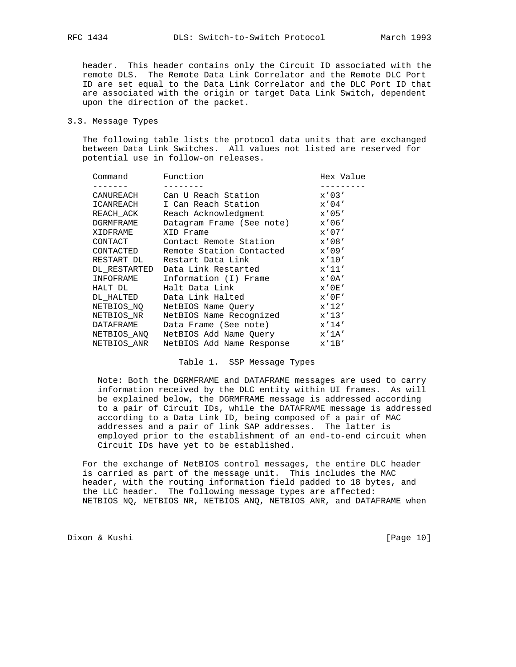header. This header contains only the Circuit ID associated with the remote DLS. The Remote Data Link Correlator and the Remote DLC Port ID are set equal to the Data Link Correlator and the DLC Port ID that are associated with the origin or target Data Link Switch, dependent upon the direction of the packet.

#### 3.3. Message Types

 The following table lists the protocol data units that are exchanged between Data Link Switches. All values not listed are reserved for potential use in follow-on releases.

| Command      | Function                  | Hex Value   |
|--------------|---------------------------|-------------|
|              |                           |             |
| CANUREACH    | Can U Reach Station       | $x'$ 03'    |
| ICANREACH    | I Can Reach Station       | $x'$ 04'    |
| REACH ACK    | Reach Acknowledgment      | x'05'       |
| DGRMFRAME    | Datagram Frame (See note) | x'06'       |
| XIDFRAME     | XID Frame                 | $x'$ 07'    |
| CONTACT      | Contact Remote Station    | x'08'       |
| CONTACTED    | Remote Station Contacted  | x'09'       |
| RESTART DL   | Restart Data Link         | x'10'       |
| DL RESTARTED | Data Link Restarted       | x'11'       |
| INFOFRAME    | Information (I) Frame     | x'0A'       |
| HALT DL      | Halt Data Link            | $x'$ 0 E'   |
| DL HALTED    | Data Link Halted          | x'0F'       |
| NETBIOS NO   | NetBIOS Name Ouery        | x'12'       |
| NETBIOS NR   | NetBIOS Name Recognized   | $x'$ 13'    |
| DATAFRAME    | Data Frame (See note)     | x'14'       |
| NETBIOS ANQ  | NetBIOS Add Name Query    | $x'$ 1A $'$ |
| NETBIOS ANR  | NetBIOS Add Name Response | $x'$ 1B'    |

#### Table 1. SSP Message Types

 Note: Both the DGRMFRAME and DATAFRAME messages are used to carry information received by the DLC entity within UI frames. As will be explained below, the DGRMFRAME message is addressed according to a pair of Circuit IDs, while the DATAFRAME message is addressed according to a Data Link ID, being composed of a pair of MAC addresses and a pair of link SAP addresses. The latter is employed prior to the establishment of an end-to-end circuit when Circuit IDs have yet to be established.

 For the exchange of NetBIOS control messages, the entire DLC header is carried as part of the message unit. This includes the MAC header, with the routing information field padded to 18 bytes, and the LLC header. The following message types are affected: NETBIOS\_NQ, NETBIOS\_NR, NETBIOS\_ANQ, NETBIOS\_ANR, and DATAFRAME when

Dixon & Kushi [Page 10]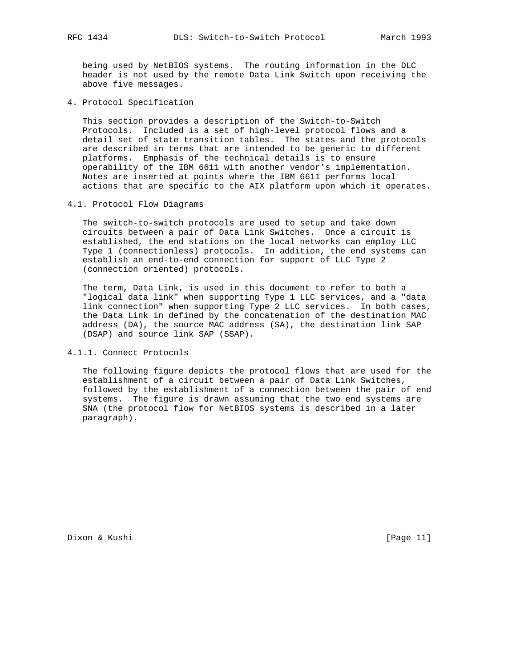being used by NetBIOS systems. The routing information in the DLC header is not used by the remote Data Link Switch upon receiving the above five messages.

4. Protocol Specification

 This section provides a description of the Switch-to-Switch Protocols. Included is a set of high-level protocol flows and a detail set of state transition tables. The states and the protocols are described in terms that are intended to be generic to different platforms. Emphasis of the technical details is to ensure operability of the IBM 6611 with another vendor's implementation. Notes are inserted at points where the IBM 6611 performs local actions that are specific to the AIX platform upon which it operates.

4.1. Protocol Flow Diagrams

 The switch-to-switch protocols are used to setup and take down circuits between a pair of Data Link Switches. Once a circuit is established, the end stations on the local networks can employ LLC Type 1 (connectionless) protocols. In addition, the end systems can establish an end-to-end connection for support of LLC Type 2 (connection oriented) protocols.

 The term, Data Link, is used in this document to refer to both a "logical data link" when supporting Type 1 LLC services, and a "data link connection" when supporting Type 2 LLC services. In both cases, the Data Link in defined by the concatenation of the destination MAC address (DA), the source MAC address (SA), the destination link SAP (DSAP) and source link SAP (SSAP).

4.1.1. Connect Protocols

 The following figure depicts the protocol flows that are used for the establishment of a circuit between a pair of Data Link Switches, followed by the establishment of a connection between the pair of end systems. The figure is drawn assuming that the two end systems are SNA (the protocol flow for NetBIOS systems is described in a later paragraph).

Dixon & Kushi [Page 11]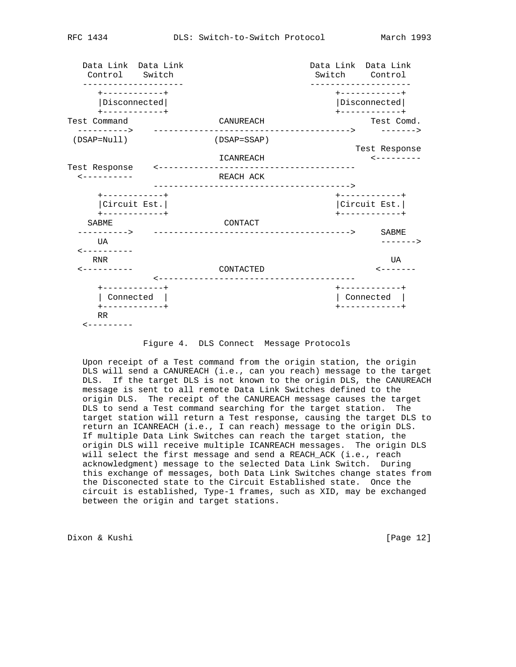Data Link Data Link Data Link Data Link Control Switch Switch Control -------------------- -------------------- +------------+ +------------+ |Disconnected| |Disconnected| +------------+ +------------+ Test Command CANUREACH COMPANY COMPANY COMPANY COMPANY CANUREACH ----------> ---------------------------------------> -------> (DSAP=Null) (DSAP=SSAP) Test Response ICANREACH <--------- Test Response <--------------------------------------- <---------- REACH ACK ---------------------------------------> +------------+ +------------+ |Circuit Est.| |Circuit Est.| +------------+ +------------+ SABME CONTACT ----------> ---------------------------------------> SABME UA -------> <---------- RNR UA <---------- CONTACTED <------- <--------------------------------------- +------------+ +------------+ | Connected | | Connected | +------------+ +------------+ RR  $\leftarrow$  - - - - - - - - -

## Figure 4. DLS Connect Message Protocols

 Upon receipt of a Test command from the origin station, the origin DLS will send a CANUREACH (i.e., can you reach) message to the target DLS. If the target DLS is not known to the origin DLS, the CANUREACH message is sent to all remote Data Link Switches defined to the origin DLS. The receipt of the CANUREACH message causes the target DLS to send a Test command searching for the target station. The target station will return a Test response, causing the target DLS to return an ICANREACH (i.e., I can reach) message to the origin DLS. If multiple Data Link Switches can reach the target station, the origin DLS will receive multiple ICANREACH messages. The origin DLS will select the first message and send a REACH\_ACK (i.e., reach acknowledgment) message to the selected Data Link Switch. During this exchange of messages, both Data Link Switches change states from the Disconected state to the Circuit Established state. Once the circuit is established, Type-1 frames, such as XID, may be exchanged between the origin and target stations.

Dixon & Kushi [Page 12]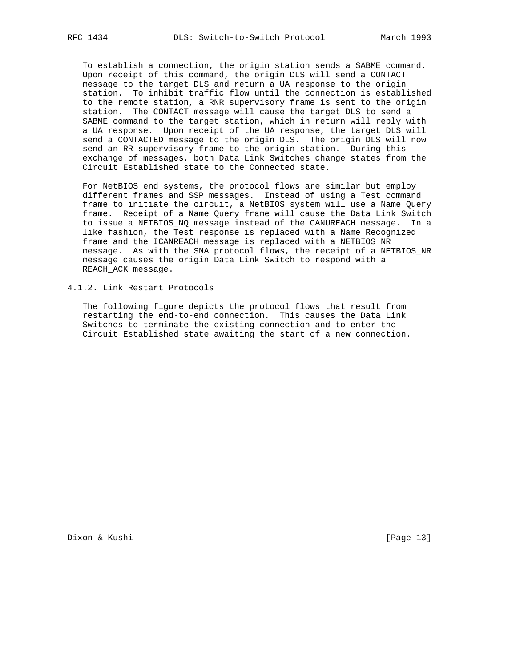To establish a connection, the origin station sends a SABME command. Upon receipt of this command, the origin DLS will send a CONTACT message to the target DLS and return a UA response to the origin station. To inhibit traffic flow until the connection is established to the remote station, a RNR supervisory frame is sent to the origin station. The CONTACT message will cause the target DLS to send a SABME command to the target station, which in return will reply with a UA response. Upon receipt of the UA response, the target DLS will send a CONTACTED message to the origin DLS. The origin DLS will now send an RR supervisory frame to the origin station. During this exchange of messages, both Data Link Switches change states from the Circuit Established state to the Connected state.

 For NetBIOS end systems, the protocol flows are similar but employ different frames and SSP messages. Instead of using a Test command frame to initiate the circuit, a NetBIOS system will use a Name Query frame. Receipt of a Name Query frame will cause the Data Link Switch to issue a NETBIOS\_NQ message instead of the CANUREACH message. In a like fashion, the Test response is replaced with a Name Recognized frame and the ICANREACH message is replaced with a NETBIOS\_NR message. As with the SNA protocol flows, the receipt of a NETBIOS\_NR message causes the origin Data Link Switch to respond with a REACH\_ACK message.

4.1.2. Link Restart Protocols

 The following figure depicts the protocol flows that result from restarting the end-to-end connection. This causes the Data Link Switches to terminate the existing connection and to enter the Circuit Established state awaiting the start of a new connection.

Dixon & Kushi [Page 13]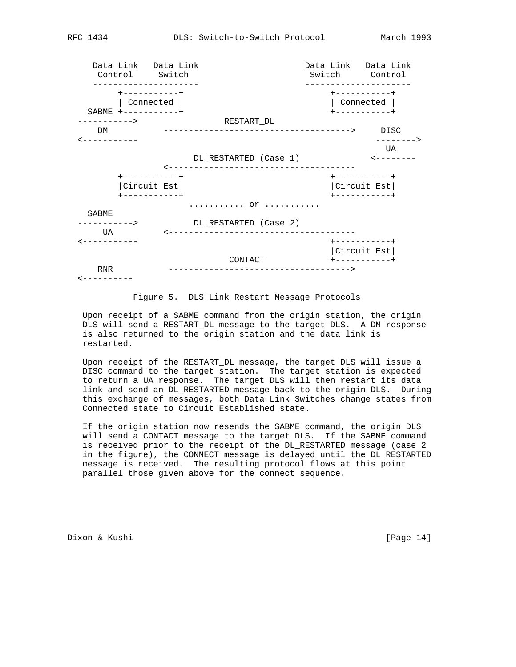|                                            | -------------                                               | Data Link Data Link<br>Control Switch |                                                  |  | Data Link Data Link<br>Switch Control                   |
|--------------------------------------------|-------------------------------------------------------------|---------------------------------------|--------------------------------------------------|--|---------------------------------------------------------|
|                                            | +-----------+<br>Connected<br>$SABME + - - - - - - - - - +$ |                                       |                                                  |  | +----------+<br>Connected<br>+----------+               |
| ----------><br>DM<br>. _ _ _ _ _ _ _ _ _ _ |                                                             |                                       | RESTART DL<br>------------------------------->   |  | DISC<br>$- - - - - >$                                   |
|                                            |                                                             |                                       | DL RESTARTED (Case 1)<br>----------------------- |  | UA                                                      |
|                                            | +-----------+<br>Circuit Est<br>+-----------+               |                                       |                                                  |  | +-----------+<br>Circuit Est<br>$+ - - - - - - - - - +$ |
| SABME<br>$--------$                        |                                                             |                                       | .   OY<br>DL RESTARTED (Case 2)                  |  |                                                         |
| UA                                         |                                                             |                                       | ---------------------------------                |  | +----------+<br>Circuit Est                             |
| <b>RNR</b>                                 |                                                             |                                       | CONTACT<br>------------------------------------- |  |                                                         |

Figure 5. DLS Link Restart Message Protocols

 Upon receipt of a SABME command from the origin station, the origin DLS will send a RESTART\_DL message to the target DLS. A DM response is also returned to the origin station and the data link is restarted.

 Upon receipt of the RESTART\_DL message, the target DLS will issue a DISC command to the target station. The target station is expected to return a UA response. The target DLS will then restart its data link and send an DL\_RESTARTED message back to the origin DLS. During this exchange of messages, both Data Link Switches change states from Connected state to Circuit Established state.

 If the origin station now resends the SABME command, the origin DLS will send a CONTACT message to the target DLS. If the SABME command is received prior to the receipt of the DL\_RESTARTED message (case 2 in the figure), the CONNECT message is delayed until the DL\_RESTARTED message is received. The resulting protocol flows at this point parallel those given above for the connect sequence.

Dixon & Kushi [Page 14]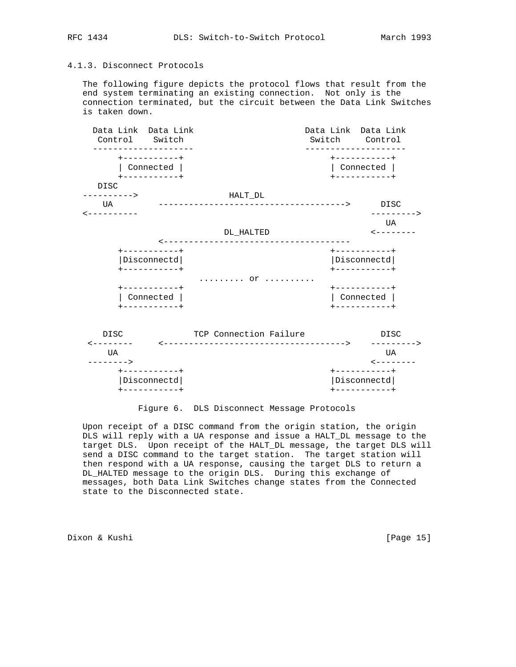## 4.1.3. Disconnect Protocols

 The following figure depicts the protocol flows that result from the end system terminating an existing connection. Not only is the connection terminated, but the circuit between the Data Link Switches is taken down.



## Figure 6. DLS Disconnect Message Protocols

 Upon receipt of a DISC command from the origin station, the origin DLS will reply with a UA response and issue a HALT\_DL message to the target DLS. Upon receipt of the HALT\_DL message, the target DLS will send a DISC command to the target station. The target station will then respond with a UA response, causing the target DLS to return a DL\_HALTED message to the origin DLS. During this exchange of messages, both Data Link Switches change states from the Connected state to the Disconnected state.

Dixon & Kushi [Page 15]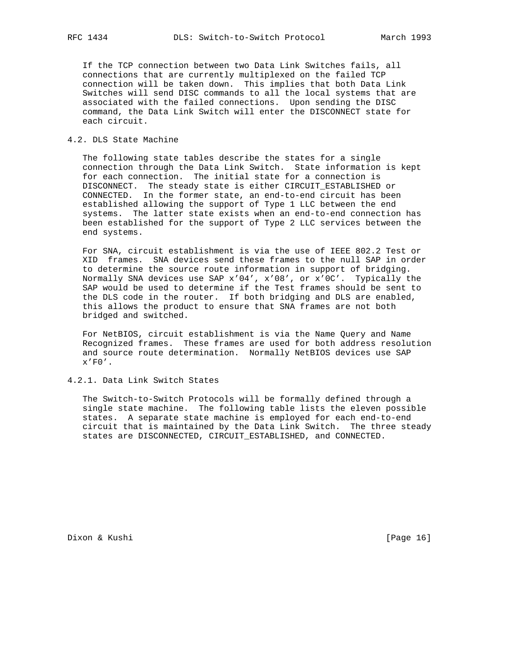If the TCP connection between two Data Link Switches fails, all connections that are currently multiplexed on the failed TCP connection will be taken down. This implies that both Data Link Switches will send DISC commands to all the local systems that are associated with the failed connections. Upon sending the DISC command, the Data Link Switch will enter the DISCONNECT state for each circuit.

## 4.2. DLS State Machine

 The following state tables describe the states for a single connection through the Data Link Switch. State information is kept for each connection. The initial state for a connection is DISCONNECT. The steady state is either CIRCUIT\_ESTABLISHED or CONNECTED. In the former state, an end-to-end circuit has been established allowing the support of Type 1 LLC between the end systems. The latter state exists when an end-to-end connection has been established for the support of Type 2 LLC services between the end systems.

 For SNA, circuit establishment is via the use of IEEE 802.2 Test or XID frames. SNA devices send these frames to the null SAP in order to determine the source route information in support of bridging. Normally SNA devices use SAP x'04', x'08', or x'0C'. Typically the SAP would be used to determine if the Test frames should be sent to the DLS code in the router. If both bridging and DLS are enabled, this allows the product to ensure that SNA frames are not both bridged and switched.

 For NetBIOS, circuit establishment is via the Name Query and Name Recognized frames. These frames are used for both address resolution and source route determination. Normally NetBIOS devices use SAP  $x'$ F $0'$ .

4.2.1. Data Link Switch States

 The Switch-to-Switch Protocols will be formally defined through a single state machine. The following table lists the eleven possible states. A separate state machine is employed for each end-to-end circuit that is maintained by the Data Link Switch. The three steady states are DISCONNECTED, CIRCUIT\_ESTABLISHED, and CONNECTED.

Dixon & Kushi [Page 16]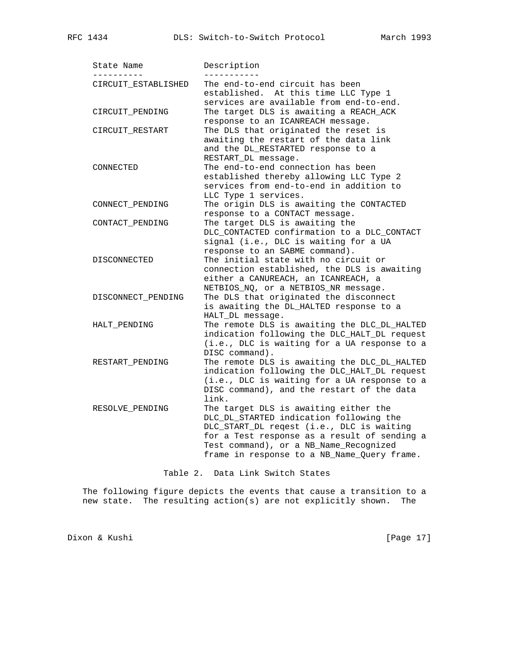| -------             |                                                                                                                                                                                                                                                                        |
|---------------------|------------------------------------------------------------------------------------------------------------------------------------------------------------------------------------------------------------------------------------------------------------------------|
| CIRCUIT ESTABLISHED | The end-to-end circuit has been<br>established. At this time LLC Type 1<br>services are available from end-to-end.                                                                                                                                                     |
| CIRCUIT_PENDING     | The target DLS is awaiting a REACH_ACK<br>response to an ICANREACH message.                                                                                                                                                                                            |
| CIRCUIT_RESTART     | The DLS that originated the reset is<br>awaiting the restart of the data link<br>and the DL_RESTARTED response to a<br>RESTART_DL message.                                                                                                                             |
| CONNECTED           | The end-to-end connection has been<br>established thereby allowing LLC Type 2<br>services from end-to-end in addition to<br>LLC Type 1 services.                                                                                                                       |
| CONNECT_PENDING     | The origin DLS is awaiting the CONTACTED<br>response to a CONTACT message.                                                                                                                                                                                             |
| CONTACT_PENDING     | The target DLS is awaiting the<br>DLC_CONTACTED confirmation to a DLC_CONTACT<br>signal (i.e., DLC is waiting for a UA<br>response to an SABME command).                                                                                                               |
| DISCONNECTED        | The initial state with no circuit or<br>connection established, the DLS is awaiting<br>either a CANUREACH, an ICANREACH, a<br>NETBIOS_NQ, or a NETBIOS_NR message.                                                                                                     |
| DISCONNECT_PENDING  | The DLS that originated the disconnect<br>is awaiting the DL_HALTED response to a<br>HALT_DL message.                                                                                                                                                                  |
| HALT PENDING        | The remote DLS is awaiting the DLC_DL_HALTED<br>indication following the DLC_HALT_DL request<br>(i.e., DLC is waiting for a UA response to a<br>DISC command).                                                                                                         |
| RESTART_PENDING     | The remote DLS is awaiting the DLC_DL_HALTED<br>indication following the DLC_HALT_DL request<br>(i.e., DLC is waiting for a UA response to a<br>DISC command), and the restart of the data<br>link.                                                                    |
| RESOLVE_PENDING     | The target DLS is awaiting either the<br>DLC_DL_STARTED indication following the<br>DLC_START_DL reqest (i.e., DLC is waiting<br>for a Test response as a result of sending a<br>Test command), or a NB_Name_Recognized<br>frame in response to a NB_Name_Query frame. |

Table 2. Data Link Switch States

 The following figure depicts the events that cause a transition to a new state. The resulting action(s) are not explicitly shown. The

Dixon & Kushi [Page 17]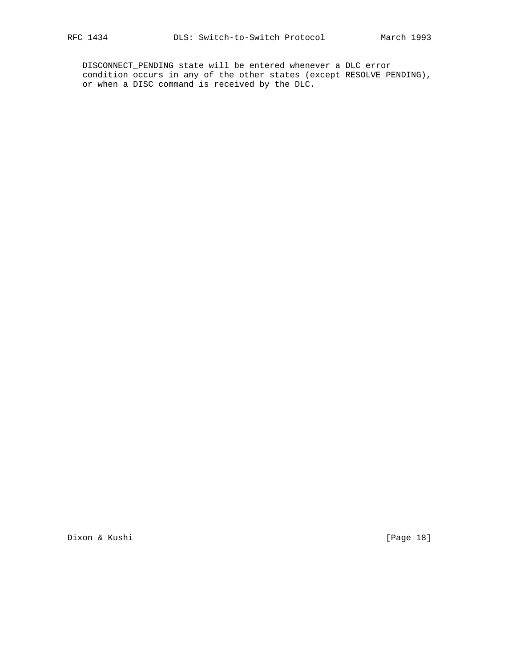DISCONNECT\_PENDING state will be entered whenever a DLC error condition occurs in any of the other states (except RESOLVE\_PENDING), or when a DISC command is received by the DLC.

Dixon & Kushi [Page 18]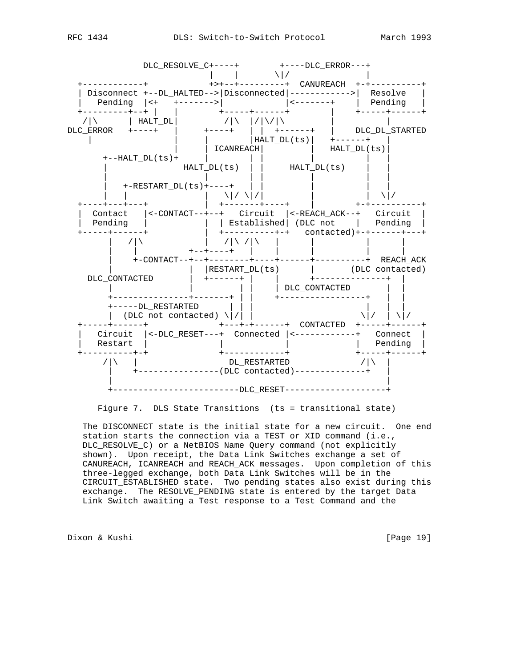

Figure 7. DLS State Transitions (ts = transitional state)

 The DISCONNECT state is the initial state for a new circuit. One end station starts the connection via a TEST or XID command (i.e., DLC\_RESOLVE\_C) or a NetBIOS Name Query command (not explicitly shown). Upon receipt, the Data Link Switches exchange a set of CANUREACH, ICANREACH and REACH\_ACK messages. Upon completion of this three-legged exchange, both Data Link Switches will be in the CIRCUIT\_ESTABLISHED state. Two pending states also exist during this exchange. The RESOLVE\_PENDING state is entered by the target Data Link Switch awaiting a Test response to a Test Command and the

Dixon & Kushi [Page 19]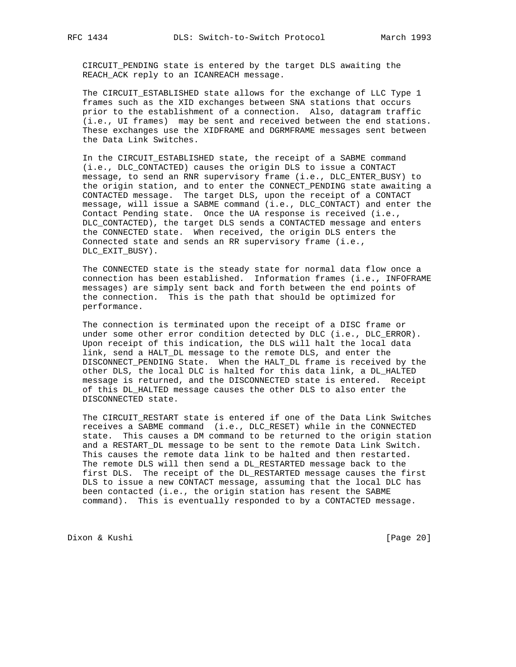CIRCUIT\_PENDING state is entered by the target DLS awaiting the REACH\_ACK reply to an ICANREACH message.

 The CIRCUIT\_ESTABLISHED state allows for the exchange of LLC Type 1 frames such as the XID exchanges between SNA stations that occurs prior to the establishment of a connection. Also, datagram traffic (i.e., UI frames) may be sent and received between the end stations. These exchanges use the XIDFRAME and DGRMFRAME messages sent between the Data Link Switches.

 In the CIRCUIT\_ESTABLISHED state, the receipt of a SABME command (i.e., DLC\_CONTACTED) causes the origin DLS to issue a CONTACT message, to send an RNR supervisory frame (i.e., DLC\_ENTER\_BUSY) to the origin station, and to enter the CONNECT\_PENDING state awaiting a CONTACTED message. The target DLS, upon the receipt of a CONTACT message, will issue a SABME command (i.e., DLC\_CONTACT) and enter the Contact Pending state. Once the UA response is received (i.e., DLC\_CONTACTED), the target DLS sends a CONTACTED message and enters the CONNECTED state. When received, the origin DLS enters the Connected state and sends an RR supervisory frame (i.e., DLC\_EXIT\_BUSY).

 The CONNECTED state is the steady state for normal data flow once a connection has been established. Information frames (i.e., INFOFRAME messages) are simply sent back and forth between the end points of the connection. This is the path that should be optimized for performance.

 The connection is terminated upon the receipt of a DISC frame or under some other error condition detected by DLC (i.e., DLC\_ERROR). Upon receipt of this indication, the DLS will halt the local data link, send a HALT\_DL message to the remote DLS, and enter the DISCONNECT\_PENDING State. When the HALT\_DL frame is received by the other DLS, the local DLC is halted for this data link, a DL\_HALTED message is returned, and the DISCONNECTED state is entered. Receipt of this DL\_HALTED message causes the other DLS to also enter the DISCONNECTED state.

 The CIRCUIT\_RESTART state is entered if one of the Data Link Switches receives a SABME command (i.e., DLC\_RESET) while in the CONNECTED state. This causes a DM command to be returned to the origin station and a RESTART\_DL message to be sent to the remote Data Link Switch. This causes the remote data link to be halted and then restarted. The remote DLS will then send a DL\_RESTARTED message back to the first DLS. The receipt of the DL\_RESTARTED message causes the first DLS to issue a new CONTACT message, assuming that the local DLC has been contacted (i.e., the origin station has resent the SABME command). This is eventually responded to by a CONTACTED message.

Dixon & Kushi [Page 20]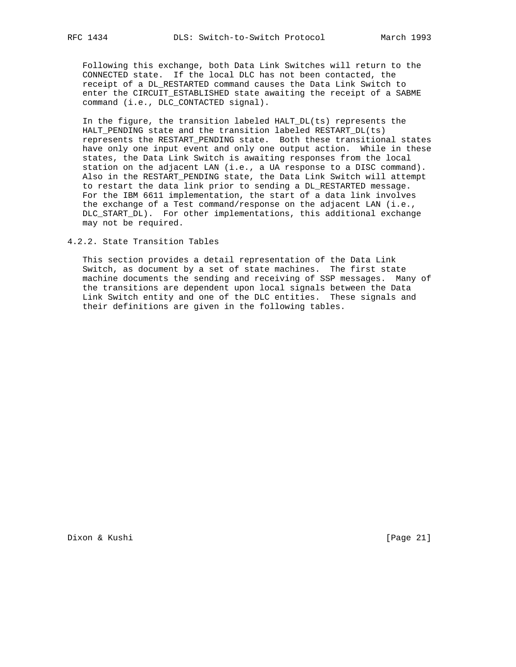Following this exchange, both Data Link Switches will return to the CONNECTED state. If the local DLC has not been contacted, the receipt of a DL\_RESTARTED command causes the Data Link Switch to enter the CIRCUIT\_ESTABLISHED state awaiting the receipt of a SABME command (i.e., DLC\_CONTACTED signal).

 In the figure, the transition labeled HALT\_DL(ts) represents the HALT\_PENDING state and the transition labeled RESTART\_DL(ts) represents the RESTART\_PENDING state. Both these transitional states have only one input event and only one output action. While in these states, the Data Link Switch is awaiting responses from the local station on the adjacent LAN (i.e., a UA response to a DISC command). Also in the RESTART\_PENDING state, the Data Link Switch will attempt to restart the data link prior to sending a DL\_RESTARTED message. For the IBM 6611 implementation, the start of a data link involves the exchange of a Test command/response on the adjacent LAN (i.e., DLC\_START\_DL). For other implementations, this additional exchange may not be required.

4.2.2. State Transition Tables

 This section provides a detail representation of the Data Link Switch, as document by a set of state machines. The first state machine documents the sending and receiving of SSP messages. Many of the transitions are dependent upon local signals between the Data Link Switch entity and one of the DLC entities. These signals and their definitions are given in the following tables.

Dixon & Kushi [Page 21]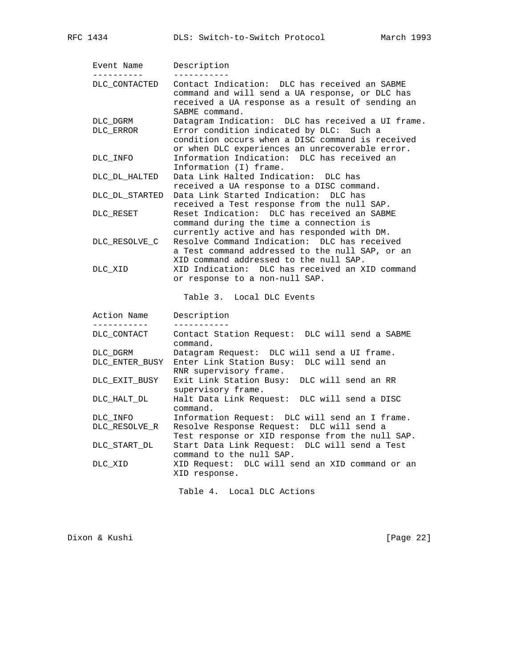| Event Name<br>. _ _ _ _ _ _ _ _ _ | Description                                                                                                                                                            |
|-----------------------------------|------------------------------------------------------------------------------------------------------------------------------------------------------------------------|
| DLC CONTACTED                     | Contact Indication: DLC has received an SABME<br>command and will send a UA response, or DLC has<br>received a UA response as a result of sending an<br>SABME command. |
| DLC DGRM                          | Datagram Indication: DLC has received a UI frame.                                                                                                                      |
| DLC_ERROR                         | Error condition indicated by DLC: Such a<br>condition occurs when a DISC command is received<br>or when DLC experiences an unrecoverable error.                        |
| DLC INFO                          | Information Indication: DLC has received an<br>Information (I) frame.                                                                                                  |
| DLC DL HALTED                     | Data Link Halted Indication:<br>DLC has<br>received a UA response to a DISC command.                                                                                   |
| DLC DL STARTED                    | Data Link Started Indication: DLC has<br>received a Test response from the null SAP.                                                                                   |
| DLC RESET                         | Reset Indication: DLC has received an SABME<br>command during the time a connection is<br>currently active and has responded with DM.                                  |
| DLC RESOLVE C                     | Resolve Command Indication: DLC has received<br>a Test command addressed to the null SAP, or an<br>XID command addressed to the null SAP.                              |
| DLC XID                           | XID Indication: DLC has received an XID command<br>or response to a non-null SAP.                                                                                      |
|                                   | Table 3. Local DLC Events                                                                                                                                              |
| Action Name<br>___________        | Description                                                                                                                                                            |
| DLC CONTACT                       | Contact Station Request: DLC will send a SABME<br>command.                                                                                                             |
| DLC DGRM                          | Datagram Request: DLC will send a UI frame.                                                                                                                            |
| DLC_ENTER_BUSY                    | Enter Link Station Busy: DLC will send an<br>RNR supervisory frame.                                                                                                    |
| DLC_EXIT_BUSY                     | Exit Link Station Busy: DLC will send an RR<br>supervisory frame.                                                                                                      |
| DLC_HALT_DL                       | Halt Data Link Request: DLC will send a DISC<br>command.                                                                                                               |
| DLC INFO                          | Information Request: DLC will send an I frame.                                                                                                                         |
| DLC RESOLVE R                     | Resolve Response Request: DLC will send a<br>Test response or XID response from the null SAP.                                                                          |
| DLC START DL                      | Start Data Link Request:<br>DLC will send a Test<br>command to the null SAP.                                                                                           |
| DLC XID                           | XID Request: DLC will send an XID command or an<br>XID response.                                                                                                       |

Table 4. Local DLC Actions

Dixon & Kushi [Page 22]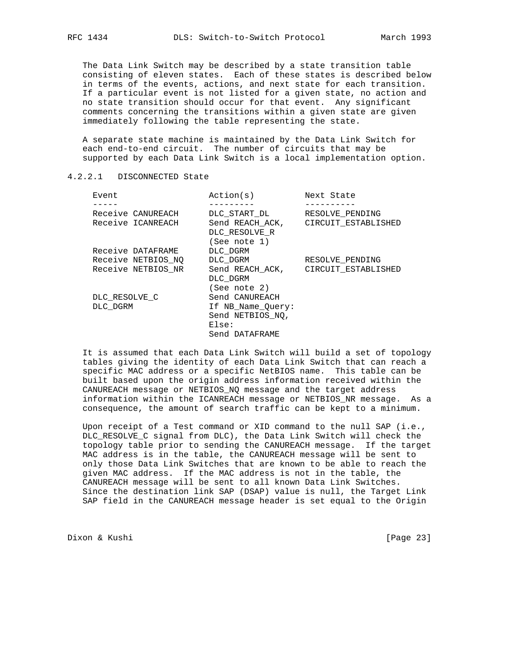The Data Link Switch may be described by a state transition table consisting of eleven states. Each of these states is described below in terms of the events, actions, and next state for each transition. If a particular event is not listed for a given state, no action and no state transition should occur for that event. Any significant comments concerning the transitions within a given state are given immediately following the table representing the state.

 A separate state machine is maintained by the Data Link Switch for each end-to-end circuit. The number of circuits that may be supported by each Data Link Switch is a local implementation option.

# 4.2.2.1 DISCONNECTED State

| Event              | Action(s)         | Next State          |
|--------------------|-------------------|---------------------|
|                    |                   |                     |
| Receive CANUREACH  | DLC START DL      | RESOLVE PENDING     |
| Receive ICANREACH  | Send REACH ACK,   | CIRCUIT ESTABLISHED |
|                    | DLC RESOLVE R     |                     |
|                    | (See note 1)      |                     |
| Receive DATAFRAME  | DLC DGRM          |                     |
| Receive NETBIOS NO | DLC DGRM          | RESOLVE PENDING     |
| Receive NETBIOS NR | Send REACH ACK,   | CIRCUIT ESTABLISHED |
|                    | DLC DGRM          |                     |
|                    | (See note 2)      |                     |
| DLC RESOLVE C      | Send CANUREACH    |                     |
| DLC DGRM           | If NB Name Query: |                     |
|                    | Send NETBIOS NO,  |                     |
|                    | Else:             |                     |
|                    | Send DATAFRAME    |                     |

 It is assumed that each Data Link Switch will build a set of topology tables giving the identity of each Data Link Switch that can reach a specific MAC address or a specific NetBIOS name. This table can be built based upon the origin address information received within the CANUREACH message or NETBIOS\_NQ message and the target address information within the ICANREACH message or NETBIOS\_NR message. As a consequence, the amount of search traffic can be kept to a minimum.

 Upon receipt of a Test command or XID command to the null SAP (i.e., DLC\_RESOLVE\_C signal from DLC), the Data Link Switch will check the topology table prior to sending the CANUREACH message. If the target MAC address is in the table, the CANUREACH message will be sent to only those Data Link Switches that are known to be able to reach the given MAC address. If the MAC address is not in the table, the CANUREACH message will be sent to all known Data Link Switches. Since the destination link SAP (DSAP) value is null, the Target Link SAP field in the CANUREACH message header is set equal to the Origin

Dixon & Kushi [Page 23]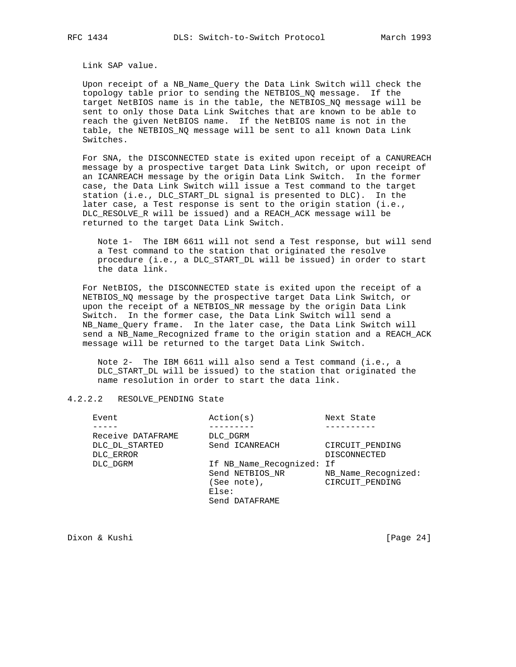Link SAP value.

 Upon receipt of a NB\_Name\_Query the Data Link Switch will check the topology table prior to sending the NETBIOS\_NQ message. If the target NetBIOS name is in the table, the NETBIOS\_NQ message will be sent to only those Data Link Switches that are known to be able to reach the given NetBIOS name. If the NetBIOS name is not in the table, the NETBIOS\_NQ message will be sent to all known Data Link Switches.

 For SNA, the DISCONNECTED state is exited upon receipt of a CANUREACH message by a prospective target Data Link Switch, or upon receipt of an ICANREACH message by the origin Data Link Switch. In the former case, the Data Link Switch will issue a Test command to the target station (i.e., DLC\_START\_DL signal is presented to DLC). In the later case, a Test response is sent to the origin station (i.e., DLC\_RESOLVE\_R will be issued) and a REACH\_ACK message will be returned to the target Data Link Switch.

 Note 1- The IBM 6611 will not send a Test response, but will send a Test command to the station that originated the resolve procedure (i.e., a DLC\_START\_DL will be issued) in order to start the data link.

 For NetBIOS, the DISCONNECTED state is exited upon the receipt of a NETBIOS\_NQ message by the prospective target Data Link Switch, or upon the receipt of a NETBIOS\_NR message by the origin Data Link Switch. In the former case, the Data Link Switch will send a NB\_Name\_Query frame. In the later case, the Data Link Switch will send a NB\_Name\_Recognized frame to the origin station and a REACH\_ACK message will be returned to the target Data Link Switch.

 Note 2- The IBM 6611 will also send a Test command (i.e., a DLC\_START\_DL will be issued) to the station that originated the name resolution in order to start the data link.

# 4.2.2.2 RESOLVE\_PENDING State

| Event             | Action(s)                 | Next State          |
|-------------------|---------------------------|---------------------|
|                   |                           |                     |
| Receive DATAFRAME | DLC DGRM                  |                     |
| DLC DL STARTED    | Send ICANREACH            | CIRCUIT PENDING     |
| DLC ERROR         |                           | <b>DISCONNECTED</b> |
| DLC DGRM          | If NB Name Recognized: If |                     |
|                   | Send NETBIOS NR           | NB Name Recognized: |
|                   | (See note),               | CIRCUIT PENDING     |
|                   | Else:                     |                     |
|                   | Send DATAFRAME            |                     |
|                   |                           |                     |

Dixon & Kushi [Page 24]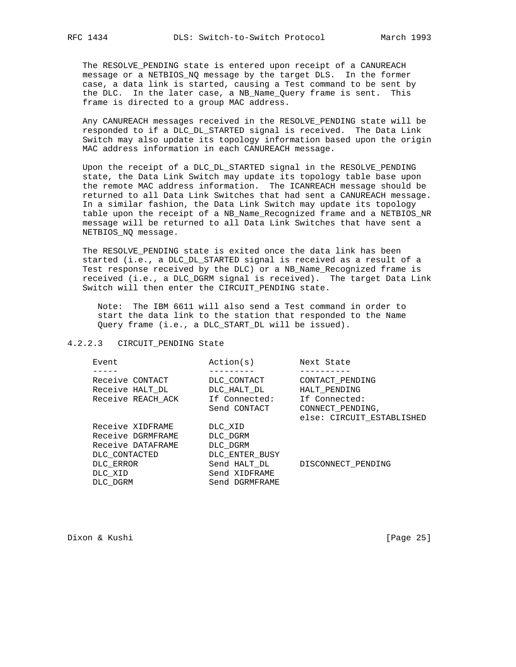The RESOLVE\_PENDING state is entered upon receipt of a CANUREACH message or a NETBIOS\_NQ message by the target DLS. In the former case, a data link is started, causing a Test command to be sent by the DLC. In the later case, a NB\_Name\_Query frame is sent. This frame is directed to a group MAC address.

 Any CANUREACH messages received in the RESOLVE\_PENDING state will be responded to if a DLC\_DL\_STARTED signal is received. The Data Link Switch may also update its topology information based upon the origin MAC address information in each CANUREACH message.

 Upon the receipt of a DLC\_DL\_STARTED signal in the RESOLVE\_PENDING state, the Data Link Switch may update its topology table base upon the remote MAC address information. The ICANREACH message should be returned to all Data Link Switches that had sent a CANUREACH message. In a similar fashion, the Data Link Switch may update its topology table upon the receipt of a NB\_Name\_Recognized frame and a NETBIOS\_NR message will be returned to all Data Link Switches that have sent a NETBIOS\_NQ message.

 The RESOLVE\_PENDING state is exited once the data link has been started (i.e., a DLC\_DL\_STARTED signal is received as a result of a Test response received by the DLC) or a NB\_Name\_Recognized frame is received (i.e., a DLC\_DGRM signal is received). The target Data Link Switch will then enter the CIRCUIT\_PENDING state.

 Note: The IBM 6611 will also send a Test command in order to start the data link to the station that responded to the Name Query frame (i.e., a DLC\_START\_DL will be issued).

#### 4.2.2.3 CIRCUIT\_PENDING State

| Event             | Action(s)      | Next State                |
|-------------------|----------------|---------------------------|
|                   |                |                           |
| Receive CONTACT   | DLC CONTACT    | CONTACT PENDING           |
| Receive HALT DL   | DLC HALT DL    | HALT PENDING              |
| Receive REACH ACK | If Connected:  | If Connected:             |
|                   | Send CONTACT   | CONNECT PENDING,          |
|                   |                | else: CIRCUIT_ESTABLISHED |
| Receive XIDFRAME  | DLC XID        |                           |
| Receive DGRMFRAME | DLC DGRM       |                           |
| Receive DATAFRAME | DLC DGRM       |                           |
| DLC CONTACTED     | DLC ENTER BUSY |                           |
| DLC ERROR         | Send HALT DL   | DISCONNECT PENDING        |
| DLC XID           | Send XIDFRAME  |                           |
| DLC DGRM          | Send DGRMFRAME |                           |
|                   |                |                           |

Dixon & Kushi [Page 25]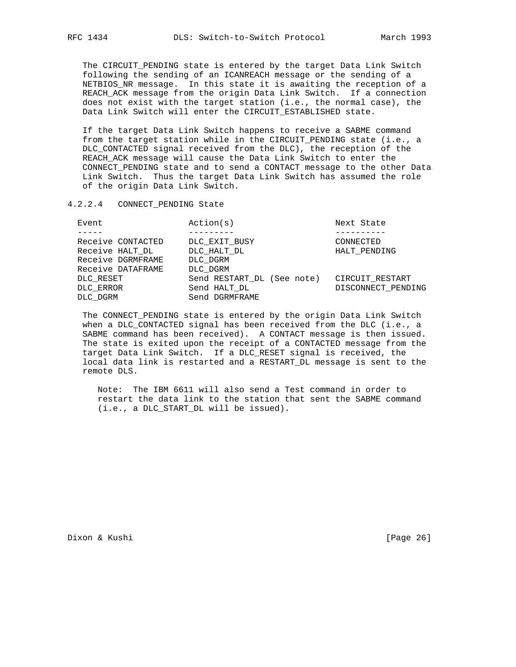The CIRCUIT\_PENDING state is entered by the target Data Link Switch following the sending of an ICANREACH message or the sending of a NETBIOS\_NR message. In this state it is awaiting the reception of a REACH\_ACK message from the origin Data Link Switch. If a connection does not exist with the target station (i.e., the normal case), the Data Link Switch will enter the CIRCUIT\_ESTABLISHED state.

 If the target Data Link Switch happens to receive a SABME command from the target station while in the CIRCUIT\_PENDING state (i.e., a DLC CONTACTED signal received from the DLC), the reception of the REACH\_ACK message will cause the Data Link Switch to enter the CONNECT\_PENDING state and to send a CONTACT message to the other Data Link Switch. Thus the target Data Link Switch has assumed the role of the origin Data Link Switch.

#### 4.2.2.4 CONNECT\_PENDING State

| Event             | Action(s)                  | Next State         |
|-------------------|----------------------------|--------------------|
|                   |                            |                    |
| Receive CONTACTED | DLC EXIT BUSY              | CONNECTED          |
| Receive HALT_DL   | DLC HALT DL                | HALT PENDING       |
| Receive DGRMFRAME | DLC DGRM                   |                    |
| Receive DATAFRAME | DLC DGRM                   |                    |
| DLC RESET         | Send RESTART DL (See note) | CIRCUIT RESTART    |
| DLC ERROR         | Send HALT DL               | DISCONNECT PENDING |
| DLC DGRM          | Send DGRMFRAME             |                    |

 The CONNECT\_PENDING state is entered by the origin Data Link Switch when a DLC\_CONTACTED signal has been received from the DLC (i.e., a SABME command has been received). A CONTACT message is then issued. The state is exited upon the receipt of a CONTACTED message from the target Data Link Switch. If a DLC\_RESET signal is received, the local data link is restarted and a RESTART\_DL message is sent to the remote DLS.

 Note: The IBM 6611 will also send a Test command in order to restart the data link to the station that sent the SABME command (i.e., a DLC\_START\_DL will be issued).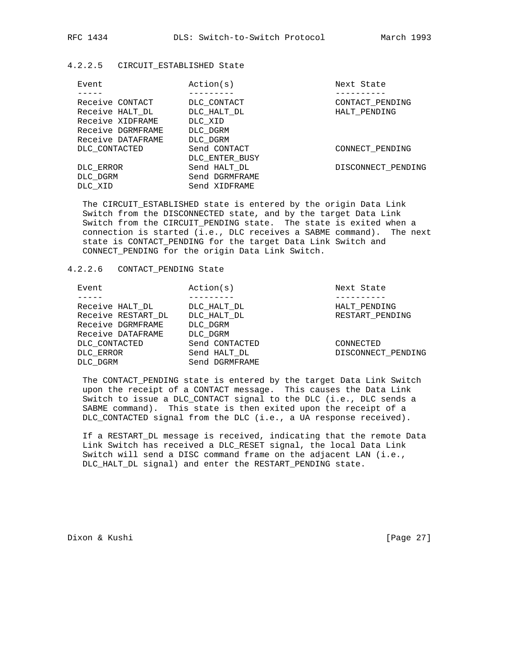# 4.2.2.5 CIRCUIT\_ESTABLISHED State

| Event             | Action(s)      | Next State         |
|-------------------|----------------|--------------------|
|                   |                |                    |
| Receive CONTACT   | DLC CONTACT    | CONTACT PENDING    |
| Receive HALT DL   | DLC HALT DL    | HALT PENDING       |
| Receive XIDFRAME  | DLC XID        |                    |
| Receive DGRMFRAME | DLC DGRM       |                    |
| Receive DATAFRAME | DLC DGRM       |                    |
| DLC CONTACTED     | Send CONTACT   | CONNECT PENDING    |
|                   | DLC ENTER BUSY |                    |
| DLC ERROR         | Send HALT DL   | DISCONNECT PENDING |
| DLC DGRM          | Send DGRMFRAME |                    |
| DLC XID           | Send XIDFRAME  |                    |
|                   |                |                    |

 The CIRCUIT\_ESTABLISHED state is entered by the origin Data Link Switch from the DISCONNECTED state, and by the target Data Link Switch from the CIRCUIT\_PENDING state. The state is exited when a connection is started (i.e., DLC receives a SABME command). The next state is CONTACT\_PENDING for the target Data Link Switch and CONNECT\_PENDING for the origin Data Link Switch.

## 4.2.2.6 CONTACT\_PENDING State

| Event |                    | Action(s)      | Next State         |
|-------|--------------------|----------------|--------------------|
|       |                    |                |                    |
|       | Receive HALT DL    | DLC HALT DL    | HALT PENDING       |
|       | Receive RESTART DL | DLC HALT DL    | RESTART PENDING    |
|       | Receive DGRMFRAME  | DLC DGRM       |                    |
|       | Receive DATAFRAME  | DLC DGRM       |                    |
|       | DLC CONTACTED      | Send CONTACTED | CONNECTED          |
|       | DLC ERROR          | Send HALT DL   | DISCONNECT PENDING |
|       | DLC DGRM           | Send DGRMFRAME |                    |

 The CONTACT\_PENDING state is entered by the target Data Link Switch upon the receipt of a CONTACT message. This causes the Data Link Switch to issue a DLC\_CONTACT signal to the DLC (i.e., DLC sends a SABME command). This state is then exited upon the receipt of a DLC\_CONTACTED signal from the DLC (i.e., a UA response received).

 If a RESTART\_DL message is received, indicating that the remote Data Link Switch has received a DLC\_RESET signal, the local Data Link Switch will send a DISC command frame on the adjacent LAN (i.e., DLC\_HALT\_DL signal) and enter the RESTART\_PENDING state.

Dixon & Kushi [Page 27]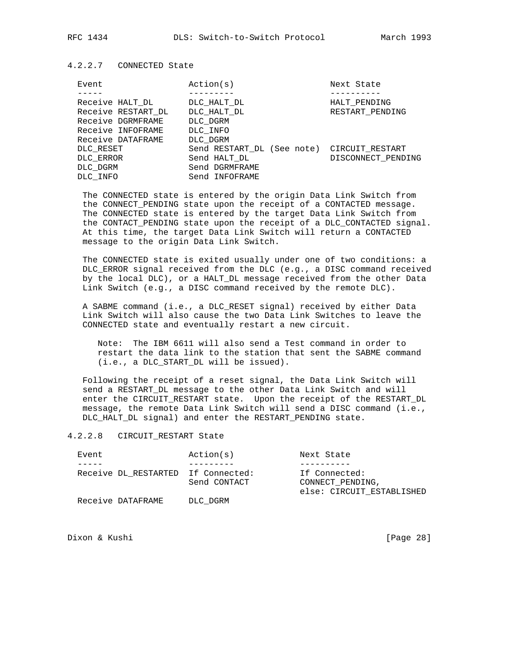#### 4.2.2.7 CONNECTED State

| Event              | Action(s)                                  | Next State         |
|--------------------|--------------------------------------------|--------------------|
|                    |                                            |                    |
| Receive HALT DL    | DLC HALT DL                                | HALT PENDING       |
| Receive RESTART DL | DLC HALT DL                                | RESTART PENDING    |
| Receive DGRMFRAME  | DLC DGRM                                   |                    |
| Receive INFOFRAME  | DLC INFO                                   |                    |
| Receive DATAFRAME  | DLC DGRM                                   |                    |
| DLC RESET          | Send RESTART DL (See note) CIRCUIT RESTART |                    |
| DLC ERROR          | Send HALT DL                               | DISCONNECT PENDING |
| DLC DGRM           | Send DGRMFRAME                             |                    |
| DLC INFO           | Send INFOFRAME                             |                    |

 The CONNECTED state is entered by the origin Data Link Switch from the CONNECT\_PENDING state upon the receipt of a CONTACTED message. The CONNECTED state is entered by the target Data Link Switch from the CONTACT\_PENDING state upon the receipt of a DLC\_CONTACTED signal. At this time, the target Data Link Switch will return a CONTACTED message to the origin Data Link Switch.

 The CONNECTED state is exited usually under one of two conditions: a DLC\_ERROR signal received from the DLC (e.g., a DISC command received by the local DLC), or a HALT\_DL message received from the other Data Link Switch (e.g., a DISC command received by the remote DLC).

 A SABME command (i.e., a DLC\_RESET signal) received by either Data Link Switch will also cause the two Data Link Switches to leave the CONNECTED state and eventually restart a new circuit.

 Note: The IBM 6611 will also send a Test command in order to restart the data link to the station that sent the SABME command (i.e., a DLC\_START\_DL will be issued).

 Following the receipt of a reset signal, the Data Link Switch will send a RESTART\_DL message to the other Data Link Switch and will enter the CIRCUIT\_RESTART state. Upon the receipt of the RESTART\_DL message, the remote Data Link Switch will send a DISC command (i.e., DLC\_HALT\_DL signal) and enter the RESTART\_PENDING state.

#### 4.2.2.8 CIRCUIT\_RESTART State

| Event                              | Action(s)    | Next State                                                     |
|------------------------------------|--------------|----------------------------------------------------------------|
|                                    |              |                                                                |
| Receive DL RESTARTED If Connected: | Send CONTACT | If Connected:<br>CONNECT PENDING.<br>else: CIRCUIT ESTABLISHED |
| Receive DATAFRAME                  | DLC DGRM     |                                                                |

Dixon & Kushi [Page 28]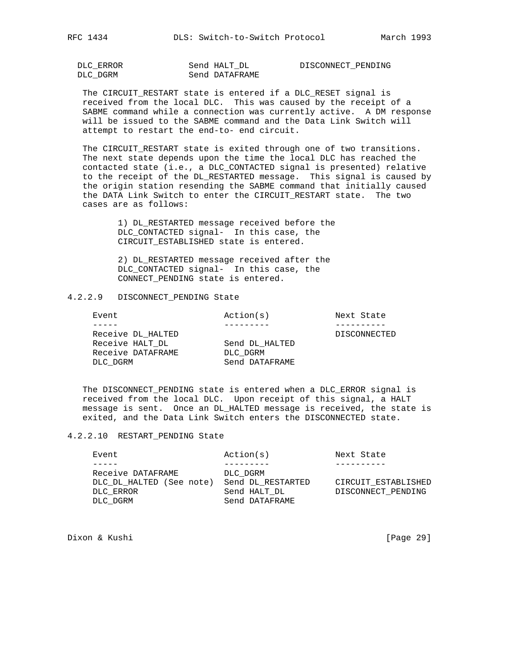DISCONNECT\_PENDING

| DLC ERROR | Send HALT DL   |
|-----------|----------------|
| DLC DGRM  | Send DATAFRAME |

 The CIRCUIT\_RESTART state is entered if a DLC\_RESET signal is received from the local DLC. This was caused by the receipt of a SABME command while a connection was currently active. A DM response will be issued to the SABME command and the Data Link Switch will attempt to restart the end-to- end circuit.

 The CIRCUIT\_RESTART state is exited through one of two transitions. The next state depends upon the time the local DLC has reached the contacted state (i.e., a DLC\_CONTACTED signal is presented) relative to the receipt of the DL\_RESTARTED message. This signal is caused by the origin station resending the SABME command that initially caused the DATA Link Switch to enter the CIRCUIT\_RESTART state. The two cases are as follows:

> 1) DL\_RESTARTED message received before the DLC\_CONTACTED signal- In this case, the CIRCUIT\_ESTABLISHED state is entered.

 2) DL\_RESTARTED message received after the DLC\_CONTACTED signal- In this case, the CONNECT\_PENDING state is entered.

# 4.2.2.9 DISCONNECT\_PENDING State

| Event                                                                 | Action(s)                                    | Next State   |
|-----------------------------------------------------------------------|----------------------------------------------|--------------|
|                                                                       |                                              |              |
| Receive DL HALTED<br>Receive HALT DL<br>Receive DATAFRAME<br>DLC DGRM | Send DL HALTED<br>DLC DGRM<br>Send DATAFRAME | DISCONNECTED |
|                                                                       |                                              |              |

 The DISCONNECT\_PENDING state is entered when a DLC\_ERROR signal is received from the local DLC. Upon receipt of this signal, a HALT message is sent. Once an DL\_HALTED message is received, the state is exited, and the Data Link Switch enters the DISCONNECTED state.

#### 4.2.2.10 RESTART\_PENDING State

| Event                                         | Action(s)                      | Next State          |
|-----------------------------------------------|--------------------------------|---------------------|
|                                               |                                |                     |
| Receive DATAFRAME<br>DLC DL HALTED (See note) | DLC DGRM<br>Send DL RESTARTED  | CIRCUIT ESTABLISHED |
| DLC ERROR<br>DLC DGRM                         | Send HALT DL<br>Send DATAFRAME | DISCONNECT PENDING  |
|                                               |                                |                     |

Dixon & Kushi [Page 29]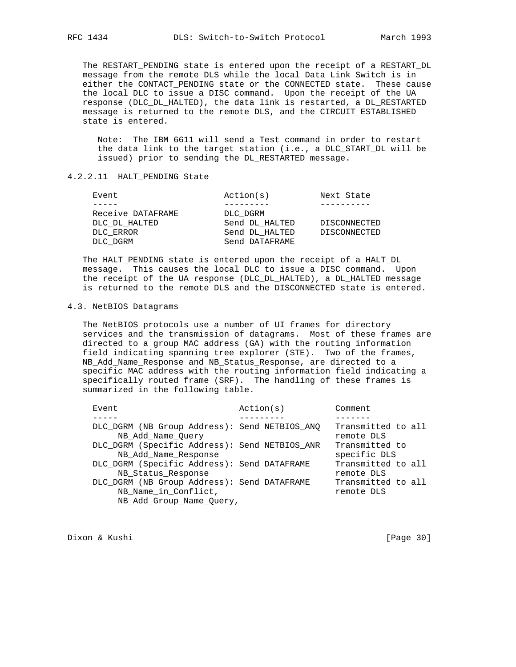The RESTART\_PENDING state is entered upon the receipt of a RESTART\_DL message from the remote DLS while the local Data Link Switch is in either the CONTACT\_PENDING state or the CONNECTED state. These cause the local DLC to issue a DISC command. Upon the receipt of the UA response (DLC\_DL\_HALTED), the data link is restarted, a DL\_RESTARTED message is returned to the remote DLS, and the CIRCUIT\_ESTABLISHED state is entered.

 Note: The IBM 6611 will send a Test command in order to restart the data link to the target station (i.e., a DLC\_START\_DL will be issued) prior to sending the DL\_RESTARTED message.

## 4.2.2.11 HALT\_PENDING State

| Event             | Action(s)      | Next State   |
|-------------------|----------------|--------------|
|                   |                |              |
| Receive DATAFRAME | DLC DGRM       |              |
| DLC DL HALTED     | Send DL HALTED | DISCONNECTED |
| DLC ERROR         | Send DL HALTED | DISCONNECTED |
| DLC DGRM          | Send DATAFRAME |              |
|                   |                |              |

 The HALT\_PENDING state is entered upon the receipt of a HALT\_DL message. This causes the local DLC to issue a DISC command. Upon the receipt of the UA response (DLC\_DL\_HALTED), a DL\_HALTED message is returned to the remote DLS and the DISCONNECTED state is entered.

#### 4.3. NetBIOS Datagrams

 The NetBIOS protocols use a number of UI frames for directory services and the transmission of datagrams. Most of these frames are directed to a group MAC address (GA) with the routing information field indicating spanning tree explorer (STE). Two of the frames, NB\_Add\_Name\_Response and NB\_Status\_Response, are directed to a specific MAC address with the routing information field indicating a specifically routed frame (SRF). The handling of these frames is summarized in the following table.

| Event                                                                                           | Action(s) | Comment                          |
|-------------------------------------------------------------------------------------------------|-----------|----------------------------------|
|                                                                                                 |           |                                  |
| DLC DGRM (NB Group Address): Send NETBIOS ANO<br>NB Add Name Ouery                              |           | Transmitted to all<br>remote DLS |
| DLC_DGRM (Specific Address): Send NETBIOS_ANR<br>NB_Add_Name_Response                           |           | Transmitted to<br>specific DLS   |
| DLC_DGRM (Specific Address): Send DATAFRAME<br>NB Status Response                               |           | Transmitted to all<br>remote DLS |
| DLC DGRM (NB Group Address): Send DATAFRAME<br>NB_Name_in_Conflict,<br>NB Add Group Name Query, |           | Transmitted to all<br>remote DLS |
|                                                                                                 |           |                                  |

Dixon & Kushi [Page 30]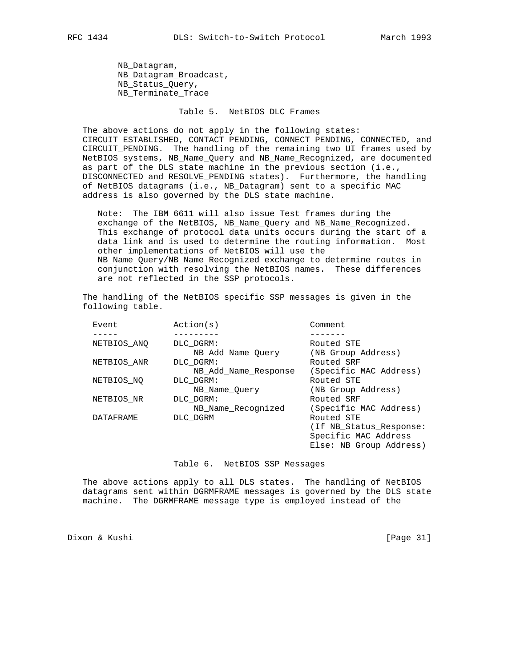NB\_Datagram, NB\_Datagram\_Broadcast, NB\_Status\_Query, NB Terminate Trace

## Table 5. NetBIOS DLC Frames

 The above actions do not apply in the following states: CIRCUIT\_ESTABLISHED, CONTACT\_PENDING, CONNECT\_PENDING, CONNECTED, and CIRCUIT\_PENDING. The handling of the remaining two UI frames used by NetBIOS systems, NB\_Name\_Query and NB\_Name\_Recognized, are documented as part of the DLS state machine in the previous section (i.e., DISCONNECTED and RESOLVE\_PENDING states). Furthermore, the handling of NetBIOS datagrams (i.e., NB\_Datagram) sent to a specific MAC address is also governed by the DLS state machine.

 Note: The IBM 6611 will also issue Test frames during the exchange of the NetBIOS, NB\_Name\_Query and NB\_Name\_Recognized. This exchange of protocol data units occurs during the start of a data link and is used to determine the routing information. Most other implementations of NetBIOS will use the NB\_Name\_Query/NB\_Name\_Recognized exchange to determine routes in conjunction with resolving the NetBIOS names. These differences are not reflected in the SSP protocols.

 The handling of the NetBIOS specific SSP messages is given in the following table.

| Event            | Action(s)            | Comment                 |
|------------------|----------------------|-------------------------|
|                  |                      |                         |
| NETBIOS ANO      | DLC DGRM:            | Routed STE              |
|                  | NB Add Name Ouery    | (NB Group Address)      |
| NETBIOS ANR      | DLC DGRM:            | Routed SRF              |
|                  | NB Add Name Response | (Specific MAC Address)  |
| NETBIOS NO       | DLC DGRM:            | Routed STE              |
|                  | NB Name Ouery        | (NB Group Address)      |
| NETBIOS NR       | DLC DGRM:            | Routed SRF              |
|                  | NB Name Recognized   | (Specific MAC Address)  |
| <b>DATAFRAME</b> | DLC DGRM             | Routed STE              |
|                  |                      | (If NB Status Response: |
|                  |                      | Specific MAC Address    |
|                  |                      | Else: NB Group Address) |

#### Table 6. NetBIOS SSP Messages

 The above actions apply to all DLS states. The handling of NetBIOS datagrams sent within DGRMFRAME messages is governed by the DLS state machine. The DGRMFRAME message type is employed instead of the

Dixon & Kushi [Page 31]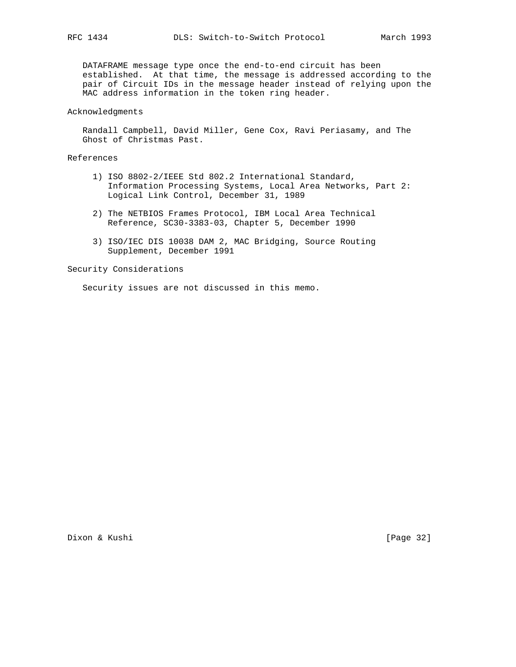DATAFRAME message type once the end-to-end circuit has been established. At that time, the message is addressed according to the pair of Circuit IDs in the message header instead of relying upon the MAC address information in the token ring header.

#### Acknowledgments

 Randall Campbell, David Miller, Gene Cox, Ravi Periasamy, and The Ghost of Christmas Past.

#### References

- 1) ISO 8802-2/IEEE Std 802.2 International Standard, Information Processing Systems, Local Area Networks, Part 2: Logical Link Control, December 31, 1989
- 2) The NETBIOS Frames Protocol, IBM Local Area Technical Reference, SC30-3383-03, Chapter 5, December 1990
- 3) ISO/IEC DIS 10038 DAM 2, MAC Bridging, Source Routing Supplement, December 1991

Security Considerations

Security issues are not discussed in this memo.

Dixon & Kushi [Page 32]